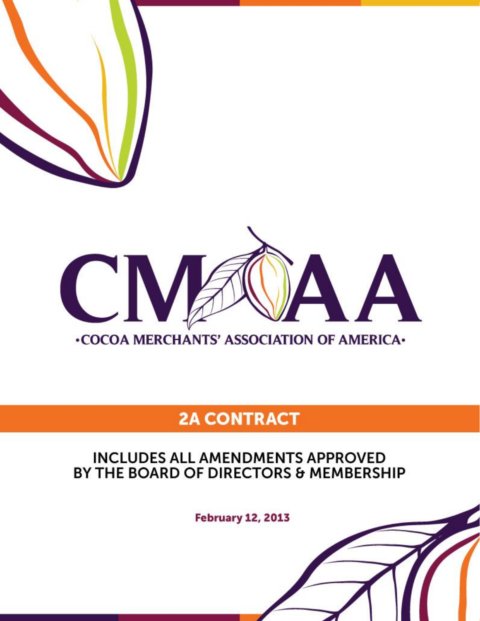

# **•COCOA MERCHANTS' ASSOCIATION OF AMERICA•**

# **2A CONTRACT**

# **INCLUDES ALL AMENDMENTS APPROVED** BY THE BOARD OF DIRECTORS & MEMBERSHIP

**February 12, 2013**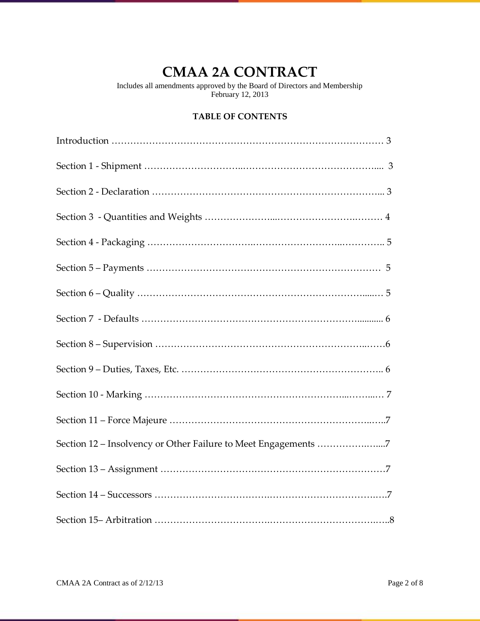# **CMAA 2A CONTRACT**

Includes all amendments approved by the Board of Directors and Membership February 12, 2013

# **TABLE OF CONTENTS**

| Section 12 - Insolvency or Other Failure to Meet Engagements 7 |  |
|----------------------------------------------------------------|--|
|                                                                |  |
|                                                                |  |
|                                                                |  |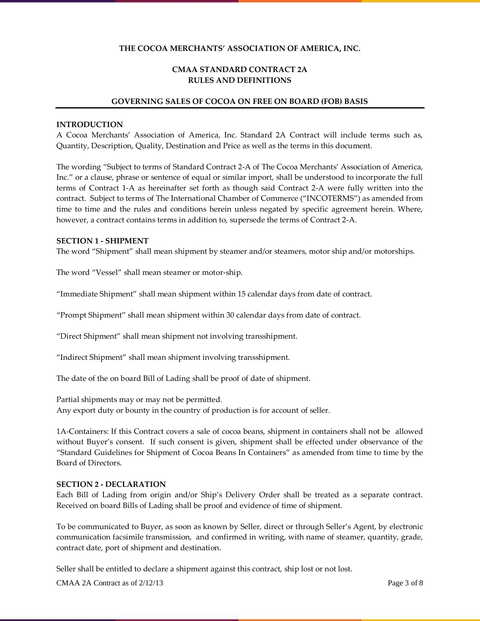# **THE COCOA MERCHANTS' ASSOCIATION OF AMERICA, INC.**

# **CMAA STANDARD CONTRACT 2A RULES AND DEFINITIONS**

#### **GOVERNING SALES OF COCOA ON FREE ON BOARD (FOB) BASIS**

#### **INTRODUCTION**

A Cocoa Merchants' Association of America, Inc. Standard 2A Contract will include terms such as, Quantity, Description, Quality, Destination and Price as well as the terms in this document.

The wording "Subject to terms of Standard Contract 2-A of The Cocoa Merchants' Association of America, Inc." or a clause, phrase or sentence of equal or similar import, shall be understood to incorporate the full terms of Contract 1-A as hereinafter set forth as though said Contract 2-A were fully written into the contract. Subject to terms of The International Chamber of Commerce ("INCOTERMS") as amended from time to time and the rules and conditions herein unless negated by specific agreement herein. Where, however, a contract contains terms in addition to, supersede the terms of Contract 2-A.

#### **SECTION 1 - SHIPMENT**

The word "Shipment" shall mean shipment by steamer and/or steamers, motor ship and/or motorships.

The word "Vessel" shall mean steamer or motor-ship.

"Immediate Shipment" shall mean shipment within 15 calendar days from date of contract.

"Prompt Shipment" shall mean shipment within 30 calendar days from date of contract.

"Direct Shipment" shall mean shipment not involving transshipment.

"Indirect Shipment" shall mean shipment involving transshipment.

The date of the on board Bill of Lading shall be proof of date of shipment.

Partial shipments may or may not be permitted. Any export duty or bounty in the country of production is for account of seller.

1A-Containers: If this Contract covers a sale of cocoa beans, shipment in containers shall not be allowed without Buyer's consent. If such consent is given, shipment shall be effected under observance of the "Standard Guidelines for Shipment of Cocoa Beans In Containers" as amended from time to time by the Board of Directors.

#### **SECTION 2 - DECLARATION**

Each Bill of Lading from origin and/or Ship's Delivery Order shall be treated as a separate contract. Received on board Bills of Lading shall be proof and evidence of time of shipment.

To be communicated to Buyer, as soon as known by Seller, direct or through Seller's Agent, by electronic communication facsimile transmission, and confirmed in writing, with name of steamer, quantity, grade, contract date, port of shipment and destination.

Seller shall be entitled to declare a shipment against this contract, ship lost or not lost.

CMAA 2A Contract as of  $2/12/13$  Page 3 of 8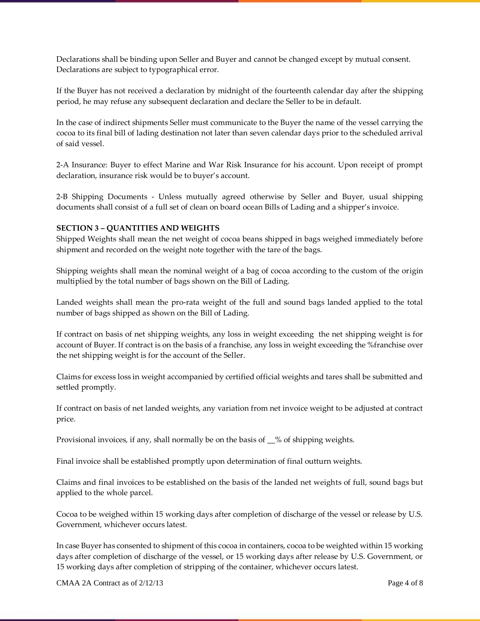Declarations shall be binding upon Seller and Buyer and cannot be changed except by mutual consent. Declarations are subject to typographical error.

If the Buyer has not received a declaration by midnight of the fourteenth calendar day after the shipping period, he may refuse any subsequent declaration and declare the Seller to be in default.

In the case of indirect shipments Seller must communicate to the Buyer the name of the vessel carrying the cocoa to its final bill of lading destination not later than seven calendar days prior to the scheduled arrival of said vessel.

2-A Insurance: Buyer to effect Marine and War Risk Insurance for his account. Upon receipt of prompt declaration, insurance risk would be to buyer's account.

2-B Shipping Documents - Unless mutually agreed otherwise by Seller and Buyer, usual shipping documents shall consist of a full set of clean on board ocean Bills of Lading and a shipper's invoice.

## **SECTION 3 – QUANTITIES AND WEIGHTS**

Shipped Weights shall mean the net weight of cocoa beans shipped in bags weighed immediately before shipment and recorded on the weight note together with the tare of the bags.

Shipping weights shall mean the nominal weight of a bag of cocoa according to the custom of the origin multiplied by the total number of bags shown on the Bill of Lading.

Landed weights shall mean the pro-rata weight of the full and sound bags landed applied to the total number of bags shipped as shown on the Bill of Lading.

If contract on basis of net shipping weights, any loss in weight exceeding the net shipping weight is for account of Buyer. If contract is on the basis of a franchise, any loss in weight exceeding the %franchise over the net shipping weight is for the account of the Seller.

Claims for excess loss in weight accompanied by certified official weights and tares shall be submitted and settled promptly.

If contract on basis of net landed weights, any variation from net invoice weight to be adjusted at contract price.

Provisional invoices, if any, shall normally be on the basis of \_\_% of shipping weights.

Final invoice shall be established promptly upon determination of final outturn weights.

Claims and final invoices to be established on the basis of the landed net weights of full, sound bags but applied to the whole parcel.

Cocoa to be weighed within 15 working days after completion of discharge of the vessel or release by U.S. Government, whichever occurs latest.

In case Buyer has consented to shipment of this cocoa in containers, cocoa to be weighted within 15 working days after completion of discharge of the vessel, or 15 working days after release by U.S. Government, or 15 working days after completion of stripping of the container, whichever occurs latest.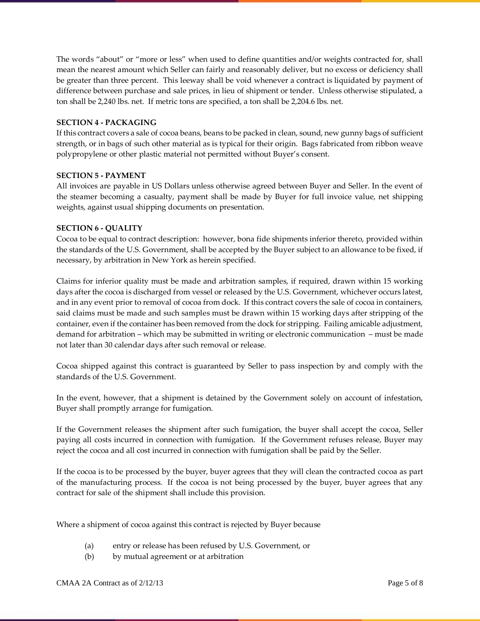The words "about" or "more or less" when used to define quantities and/or weights contracted for, shall mean the nearest amount which Seller can fairly and reasonably deliver, but no excess or deficiency shall be greater than three percent. This leeway shall be void whenever a contract is liquidated by payment of difference between purchase and sale prices, in lieu of shipment or tender. Unless otherwise stipulated, a ton shall be 2,240 lbs. net. If metric tons are specified, a ton shall be 2,204.6 lbs. net.

## **SECTION 4 - PACKAGING**

If this contract covers a sale of cocoa beans, beans to be packed in clean, sound, new gunny bags of sufficient strength, or in bags of such other material as is typical for their origin. Bags fabricated from ribbon weave polypropylene or other plastic material not permitted without Buyer's consent.

## **SECTION 5 - PAYMENT**

All invoices are payable in US Dollars unless otherwise agreed between Buyer and Seller. In the event of the steamer becoming a casualty, payment shall be made by Buyer for full invoice value, net shipping weights, against usual shipping documents on presentation.

## **SECTION 6 - QUALITY**

Cocoa to be equal to contract description: however, bona fide shipments inferior thereto, provided within the standards of the U.S. Government, shall be accepted by the Buyer subject to an allowance to be fixed, if necessary, by arbitration in New York as herein specified.

Claims for inferior quality must be made and arbitration samples, if required, drawn within 15 working days after the cocoa is discharged from vessel or released by the U.S. Government, whichever occurs latest, and in any event prior to removal of cocoa from dock. If this contract covers the sale of cocoa in containers, said claims must be made and such samples must be drawn within 15 working days after stripping of the container, even if the container has been removed from the dock for stripping. Failing amicable adjustment, demand for arbitration – which may be submitted in writing or electronic communication – must be made not later than 30 calendar days after such removal or release.

Cocoa shipped against this contract is guaranteed by Seller to pass inspection by and comply with the standards of the U.S. Government.

In the event, however, that a shipment is detained by the Government solely on account of infestation, Buyer shall promptly arrange for fumigation.

If the Government releases the shipment after such fumigation, the buyer shall accept the cocoa, Seller paying all costs incurred in connection with fumigation. If the Government refuses release, Buyer may reject the cocoa and all cost incurred in connection with fumigation shall be paid by the Seller.

If the cocoa is to be processed by the buyer, buyer agrees that they will clean the contracted cocoa as part of the manufacturing process. If the cocoa is not being processed by the buyer, buyer agrees that any contract for sale of the shipment shall include this provision.

Where a shipment of cocoa against this contract is rejected by Buyer because

- (a) entry or release has been refused by U.S. Government, or
- (b) by mutual agreement or at arbitration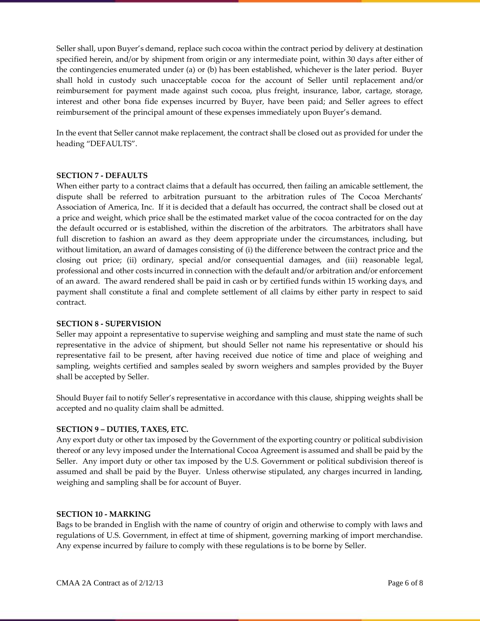Seller shall, upon Buyer's demand, replace such cocoa within the contract period by delivery at destination specified herein, and/or by shipment from origin or any intermediate point, within 30 days after either of the contingencies enumerated under (a) or (b) has been established, whichever is the later period. Buyer shall hold in custody such unacceptable cocoa for the account of Seller until replacement and/or reimbursement for payment made against such cocoa, plus freight, insurance, labor, cartage, storage, interest and other bona fide expenses incurred by Buyer, have been paid; and Seller agrees to effect reimbursement of the principal amount of these expenses immediately upon Buyer's demand.

In the event that Seller cannot make replacement, the contract shall be closed out as provided for under the heading "DEFAULTS".

#### **SECTION 7 - DEFAULTS**

When either party to a contract claims that a default has occurred, then failing an amicable settlement, the dispute shall be referred to arbitration pursuant to the arbitration rules of The Cocoa Merchants' Association of America, Inc. If it is decided that a default has occurred, the contract shall be closed out at a price and weight, which price shall be the estimated market value of the cocoa contracted for on the day the default occurred or is established, within the discretion of the arbitrators. The arbitrators shall have full discretion to fashion an award as they deem appropriate under the circumstances, including, but without limitation, an award of damages consisting of (i) the difference between the contract price and the closing out price; (ii) ordinary, special and/or consequential damages, and (iii) reasonable legal, professional and other costs incurred in connection with the default and/or arbitration and/or enforcement of an award. The award rendered shall be paid in cash or by certified funds within 15 working days, and payment shall constitute a final and complete settlement of all claims by either party in respect to said contract.

#### **SECTION 8 - SUPERVISION**

Seller may appoint a representative to supervise weighing and sampling and must state the name of such representative in the advice of shipment, but should Seller not name his representative or should his representative fail to be present, after having received due notice of time and place of weighing and sampling, weights certified and samples sealed by sworn weighers and samples provided by the Buyer shall be accepted by Seller.

Should Buyer fail to notify Seller's representative in accordance with this clause, shipping weights shall be accepted and no quality claim shall be admitted.

#### **SECTION 9 – DUTIES, TAXES, ETC.**

Any export duty or other tax imposed by the Government of the exporting country or political subdivision thereof or any levy imposed under the International Cocoa Agreement is assumed and shall be paid by the Seller. Any import duty or other tax imposed by the U.S. Government or political subdivision thereof is assumed and shall be paid by the Buyer. Unless otherwise stipulated, any charges incurred in landing, weighing and sampling shall be for account of Buyer.

#### **SECTION 10 - MARKING**

Bags to be branded in English with the name of country of origin and otherwise to comply with laws and regulations of U.S. Government, in effect at time of shipment, governing marking of import merchandise. Any expense incurred by failure to comply with these regulations is to be borne by Seller.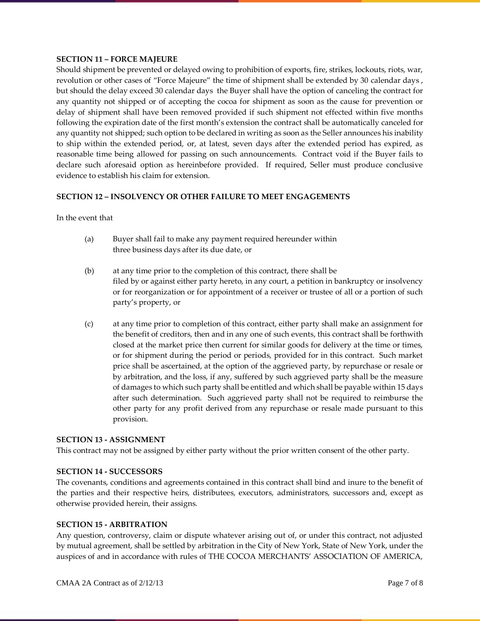#### **SECTION 11 – FORCE MAJEURE**

Should shipment be prevented or delayed owing to prohibition of exports, fire, strikes, lockouts, riots, war, revolution or other cases of "Force Majeure" the time of shipment shall be extended by 30 calendar days , but should the delay exceed 30 calendar days the Buyer shall have the option of canceling the contract for any quantity not shipped or of accepting the cocoa for shipment as soon as the cause for prevention or delay of shipment shall have been removed provided if such shipment not effected within five months following the expiration date of the first month's extension the contract shall be automatically canceled for any quantity not shipped; such option to be declared in writing as soon as the Seller announces his inability to ship within the extended period, or, at latest, seven days after the extended period has expired, as reasonable time being allowed for passing on such announcements. Contract void if the Buyer fails to declare such aforesaid option as hereinbefore provided. If required, Seller must produce conclusive evidence to establish his claim for extension.

#### **SECTION 12 – INSOLVENCY OR OTHER FAILURE TO MEET ENGAGEMENTS**

In the event that

- (a) Buyer shall fail to make any payment required hereunder within three business days after its due date, or
- (b) at any time prior to the completion of this contract, there shall be filed by or against either party hereto, in any court, a petition in bankruptcy or insolvency or for reorganization or for appointment of a receiver or trustee of all or a portion of such party's property, or
- (c) at any time prior to completion of this contract, either party shall make an assignment for the benefit of creditors, then and in any one of such events, this contract shall be forthwith closed at the market price then current for similar goods for delivery at the time or times, or for shipment during the period or periods, provided for in this contract. Such market price shall be ascertained, at the option of the aggrieved party, by repurchase or resale or by arbitration, and the loss, if any, suffered by such aggrieved party shall be the measure of damages to which such party shall be entitled and which shall be payable within 15 days after such determination. Such aggrieved party shall not be required to reimburse the other party for any profit derived from any repurchase or resale made pursuant to this provision.

#### **SECTION 13 - ASSIGNMENT**

This contract may not be assigned by either party without the prior written consent of the other party.

#### **SECTION 14 - SUCCESSORS**

The covenants, conditions and agreements contained in this contract shall bind and inure to the benefit of the parties and their respective heirs, distributees, executors, administrators, successors and, except as otherwise provided herein, their assigns.

#### **SECTION 15 - ARBITRATION**

Any question, controversy, claim or dispute whatever arising out of, or under this contract, not adjusted by mutual agreement, shall be settled by arbitration in the City of New York, State of New York, under the auspices of and in accordance with rules of THE COCOA MERCHANTS' ASSOCIATION OF AMERICA,